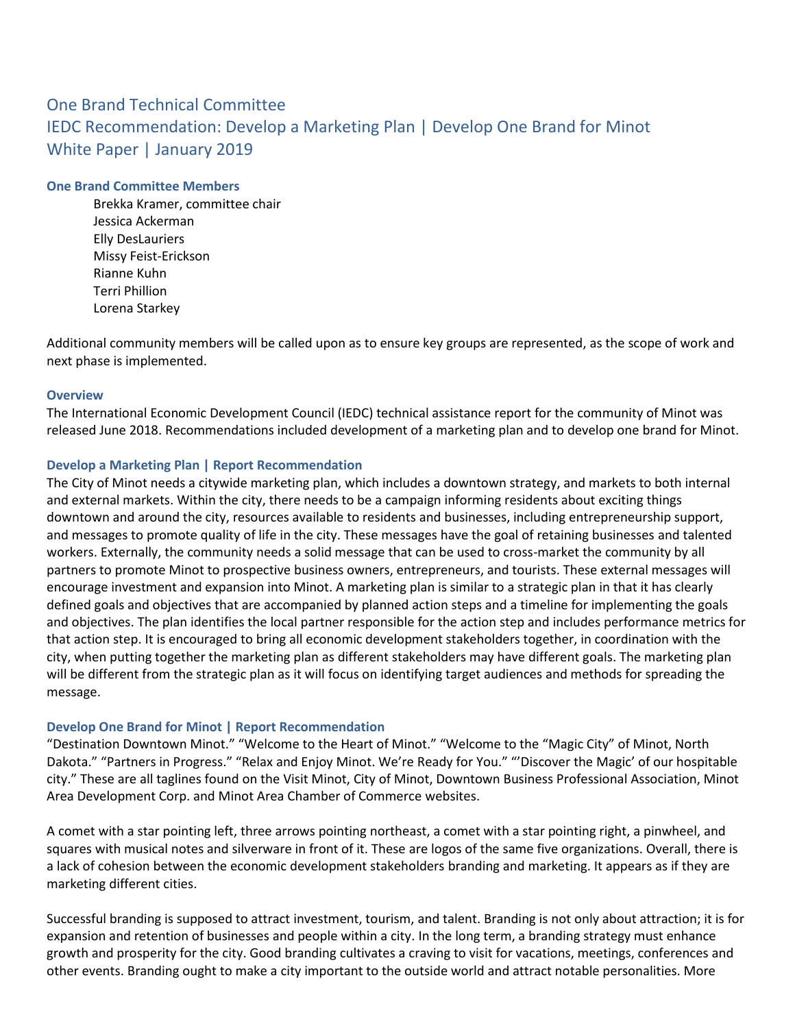# One Brand Technical Committee IEDC Recommendation: Develop a Marketing Plan | Develop One Brand for Minot White Paper | January 2019

#### **One Brand Committee Members**

Brekka Kramer, committee chair Jessica Ackerman Elly DesLauriers Missy Feist-Erickson Rianne Kuhn Terri Phillion Lorena Starkey

Additional community members will be called upon as to ensure key groups are represented, as the scope of work and next phase is implemented.

#### **Overview**

The International Economic Development Council (IEDC) technical assistance report for the community of Minot was released June 2018. Recommendations included development of a marketing plan and to develop one brand for Minot.

#### **Develop a Marketing Plan | Report Recommendation**

The City of Minot needs a citywide marketing plan, which includes a downtown strategy, and markets to both internal and external markets. Within the city, there needs to be a campaign informing residents about exciting things downtown and around the city, resources available to residents and businesses, including entrepreneurship support, and messages to promote quality of life in the city. These messages have the goal of retaining businesses and talented workers. Externally, the community needs a solid message that can be used to cross-market the community by all partners to promote Minot to prospective business owners, entrepreneurs, and tourists. These external messages will encourage investment and expansion into Minot. A marketing plan is similar to a strategic plan in that it has clearly defined goals and objectives that are accompanied by planned action steps and a timeline for implementing the goals and objectives. The plan identifies the local partner responsible for the action step and includes performance metrics for that action step. It is encouraged to bring all economic development stakeholders together, in coordination with the city, when putting together the marketing plan as different stakeholders may have different goals. The marketing plan will be different from the strategic plan as it will focus on identifying target audiences and methods for spreading the message.

#### **Develop One Brand for Minot | Report Recommendation**

"Destination Downtown Minot." "Welcome to the Heart of Minot." "Welcome to the "Magic City" of Minot, North Dakota." "Partners in Progress." "Relax and Enjoy Minot. We're Ready for You." "'Discover the Magic' of our hospitable city." These are all taglines found on the Visit Minot, City of Minot, Downtown Business Professional Association, Minot Area Development Corp. and Minot Area Chamber of Commerce websites.

A comet with a star pointing left, three arrows pointing northeast, a comet with a star pointing right, a pinwheel, and squares with musical notes and silverware in front of it. These are logos of the same five organizations. Overall, there is a lack of cohesion between the economic development stakeholders branding and marketing. It appears as if they are marketing different cities.

Successful branding is supposed to attract investment, tourism, and talent. Branding is not only about attraction; it is for expansion and retention of businesses and people within a city. In the long term, a branding strategy must enhance growth and prosperity for the city. Good branding cultivates a craving to visit for vacations, meetings, conferences and other events. Branding ought to make a city important to the outside world and attract notable personalities. More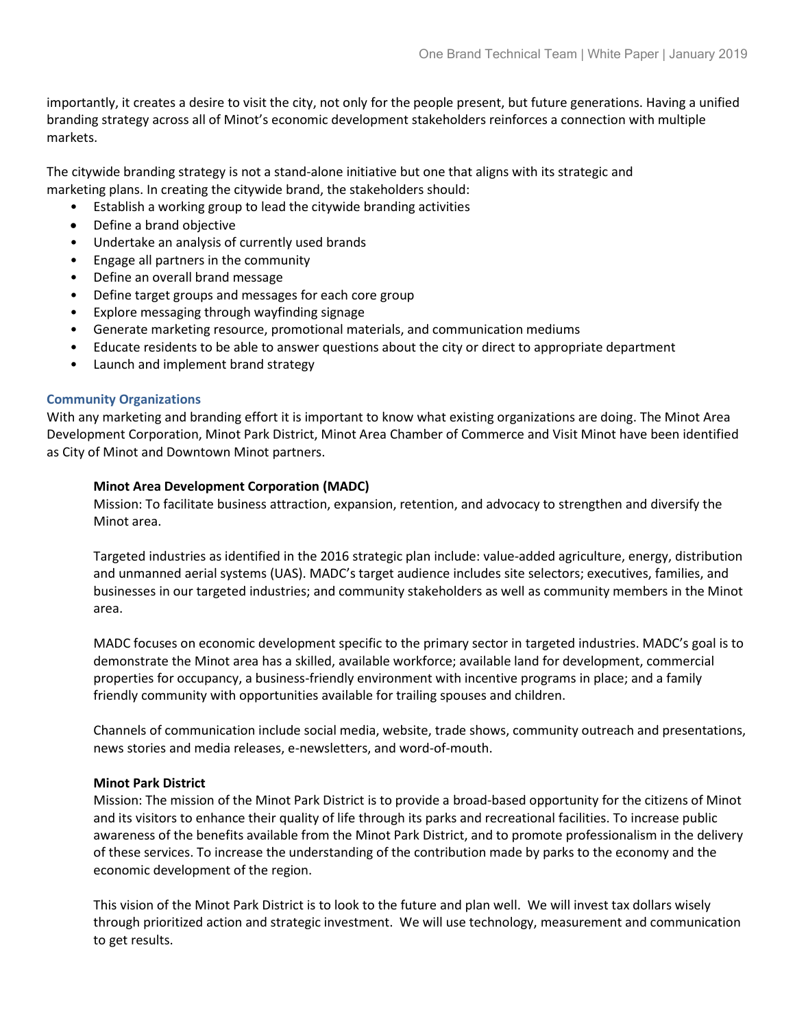importantly, it creates a desire to visit the city, not only for the people present, but future generations. Having a unified branding strategy across all of Minot's economic development stakeholders reinforces a connection with multiple markets.

The citywide branding strategy is not a stand-alone initiative but one that aligns with its strategic and marketing plans. In creating the citywide brand, the stakeholders should:

- Establish a working group to lead the citywide branding activities
- Define a brand objective
- Undertake an analysis of currently used brands
- Engage all partners in the community
- Define an overall brand message
- Define target groups and messages for each core group
- Explore messaging through wayfinding signage
- Generate marketing resource, promotional materials, and communication mediums
- Educate residents to be able to answer questions about the city or direct to appropriate department
- Launch and implement brand strategy

# **Community Organizations**

With any marketing and branding effort it is important to know what existing organizations are doing. The Minot Area Development Corporation, Minot Park District, Minot Area Chamber of Commerce and Visit Minot have been identified as City of Minot and Downtown Minot partners.

# **Minot Area Development Corporation (MADC)**

Mission: To facilitate business attraction, expansion, retention, and advocacy to strengthen and diversify the Minot area.

Targeted industries as identified in the 2016 strategic plan include: value-added agriculture, energy, distribution and unmanned aerial systems (UAS). MADC's target audience includes site selectors; executives, families, and businesses in our targeted industries; and community stakeholders as well as community members in the Minot area.

MADC focuses on economic development specific to the primary sector in targeted industries. MADC's goal is to demonstrate the Minot area has a skilled, available workforce; available land for development, commercial properties for occupancy, a business-friendly environment with incentive programs in place; and a family friendly community with opportunities available for trailing spouses and children.

Channels of communication include social media, website, trade shows, community outreach and presentations, news stories and media releases, e-newsletters, and word-of-mouth.

# **Minot Park District**

Mission: The mission of the Minot Park District is to provide a broad-based opportunity for the citizens of Minot and its visitors to enhance their quality of life through its parks and recreational facilities. To increase public awareness of the benefits available from the Minot Park District, and to promote professionalism in the delivery of these services. To increase the understanding of the contribution made by parks to the economy and the economic development of the region.

This vision of the Minot Park District is to look to the future and plan well. We will invest tax dollars wisely through prioritized action and strategic investment. We will use technology, measurement and communication to get results.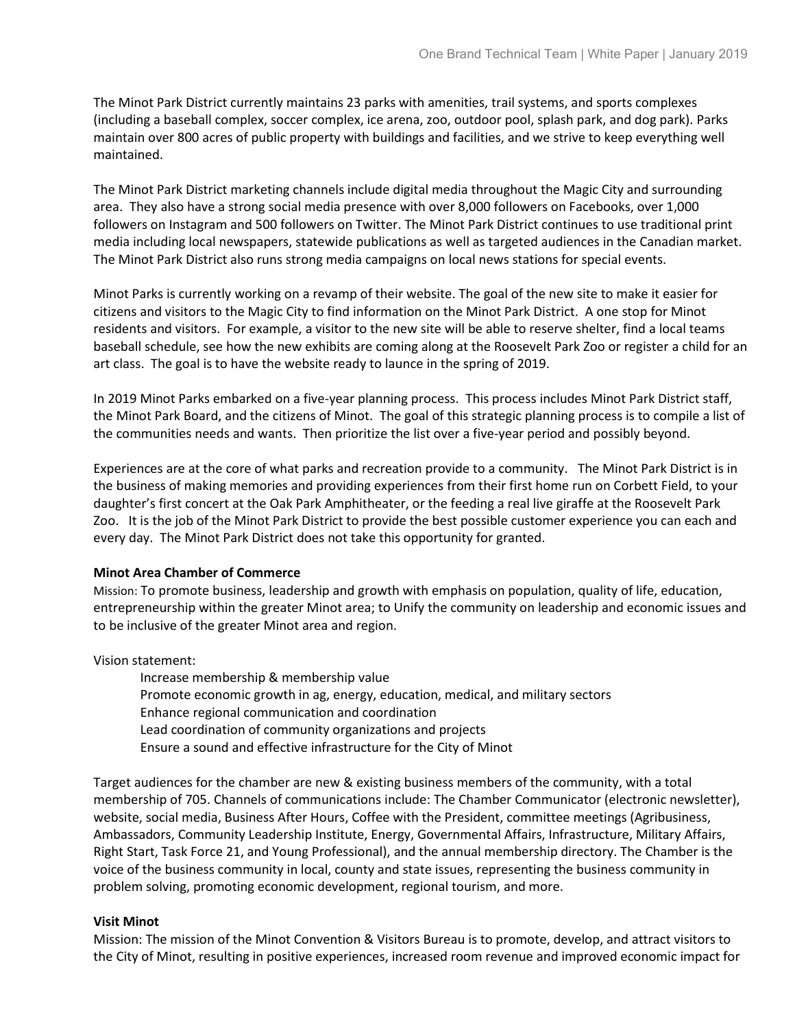The Minot Park District currently maintains 23 parks with amenities, trail systems, and sports complexes (including a baseball complex, soccer complex, ice arena, zoo, outdoor pool, splash park, and dog park). Parks maintain over 800 acres of public property with buildings and facilities, and we strive to keep everything well maintained.

The Minot Park District marketing channels include digital media throughout the Magic City and surrounding area. They also have a strong social media presence with over 8,000 followers on Facebooks, over 1,000 followers on Instagram and 500 followers on Twitter. The Minot Park District continues to use traditional print media including local newspapers, statewide publications as well as targeted audiences in the Canadian market. The Minot Park District also runs strong media campaigns on local news stations for special events.

Minot Parks is currently working on a revamp of their website. The goal of the new site to make it easier for citizens and visitors to the Magic City to find information on the Minot Park District. A one stop for Minot residents and visitors. For example, a visitor to the new site will be able to reserve shelter, find a local teams baseball schedule, see how the new exhibits are coming along at the Roosevelt Park Zoo or register a child for an art class. The goal is to have the website ready to launce in the spring of 2019.

In 2019 Minot Parks embarked on a five-year planning process. This process includes Minot Park District staff, the Minot Park Board, and the citizens of Minot. The goal of this strategic planning process is to compile a list of the communities needs and wants. Then prioritize the list over a five-year period and possibly beyond.

Experiences are at the core of what parks and recreation provide to a community. The Minot Park District is in the business of making memories and providing experiences from their first home run on Corbett Field, to your daughter's first concert at the Oak Park Amphitheater, or the feeding a real live giraffe at the Roosevelt Park Zoo. It is the job of the Minot Park District to provide the best possible customer experience you can each and every day. The Minot Park District does not take this opportunity for granted.

# **Minot Area Chamber of Commerce**

Mission: To promote business, leadership and growth with emphasis on population, quality of life, education, entrepreneurship within the greater Minot area; to Unify the community on leadership and economic issues and to be inclusive of the greater Minot area and region.

Vision statement:

Increase membership & membership value Promote economic growth in ag, energy, education, medical, and military sectors Enhance regional communication and coordination Lead coordination of community organizations and projects Ensure a sound and effective infrastructure for the City of Minot

Target audiences for the chamber are new & existing business members of the community, with a total membership of 705. Channels of communications include: The Chamber Communicator (electronic newsletter), website, social media, Business After Hours, Coffee with the President, committee meetings (Agribusiness, Ambassadors, Community Leadership Institute, Energy, Governmental Affairs, Infrastructure, Military Affairs, Right Start, Task Force 21, and Young Professional), and the annual membership directory. The Chamber is the voice of the business community in local, county and state issues, representing the business community in problem solving, promoting economic development, regional tourism, and more.

# **Visit Minot**

Mission: The mission of the Minot Convention & Visitors Bureau is to promote, develop, and attract visitors to the City of Minot, resulting in positive experiences, increased room revenue and improved economic impact for